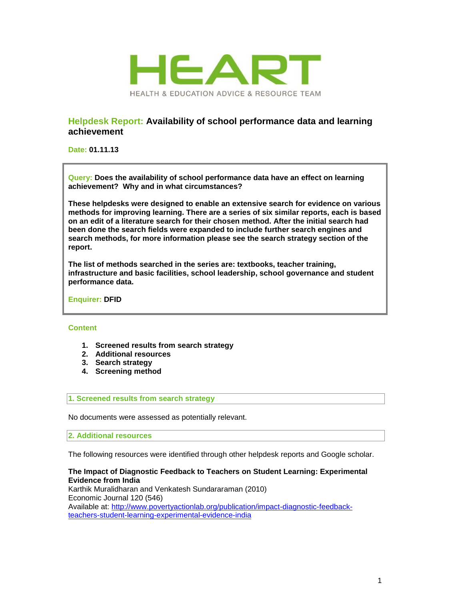

# **Helpdesk Report: Availability of school performance data and learning achievement**

**Date: 01.11.13**

**Query: Does the availability of school performance data have an effect on learning achievement? Why and in what circumstances?**

**These helpdesks were designed to enable an extensive search for evidence on various methods for improving learning. There are a series of six similar reports, each is based on an edit of a literature search for their chosen method. After the initial search had been done the search fields were expanded to include further search engines and search methods, for more information please see the search strategy section of the report.** 

**The list of methods searched in the series are: textbooks, teacher training, infrastructure and basic facilities, school leadership, school governance and student performance data.** 

**Enquirer: DFID**

#### **Content**

- **1. Screened results from search strategy**
- **2. Additional resources**
- **3. Search strategy**
- **4. Screening method**

**1. Screened results from search strategy**

No documents were assessed as potentially relevant.

# **2. Additional resources**

The following resources were identified through other helpdesk reports and Google scholar.

# **The Impact of Diagnostic Feedback to Teachers on Student Learning: Experimental Evidence from India**

Karthik Muralidharan and Venkatesh Sundararaman (2010) Economic Journal 120 (546) Available at: [http://www.povertyactionlab.org/publication/impact-diagnostic-feedback](http://www.povertyactionlab.org/publication/impact-diagnostic-feedback-teachers-student-learning-experimental-evidence-india)[teachers-student-learning-experimental-evidence-india](http://www.povertyactionlab.org/publication/impact-diagnostic-feedback-teachers-student-learning-experimental-evidence-india)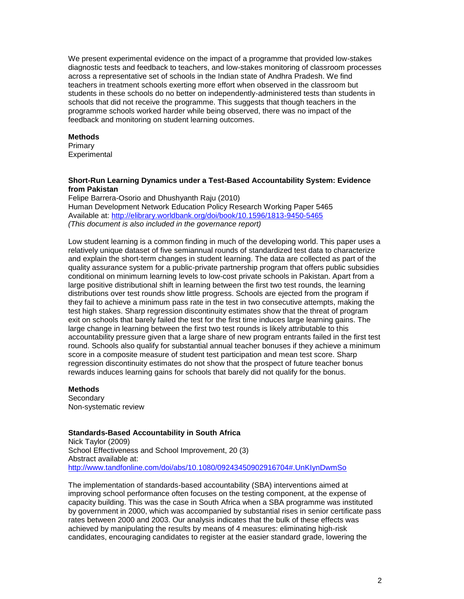We present experimental evidence on the impact of a programme that provided low-stakes diagnostic tests and feedback to teachers, and low-stakes monitoring of classroom processes across a representative set of schools in the Indian state of Andhra Pradesh. We find teachers in treatment schools exerting more effort when observed in the classroom but students in these schools do no better on independently-administered tests than students in schools that did not receive the programme. This suggests that though teachers in the programme schools worked harder while being observed, there was no impact of the feedback and monitoring on student learning outcomes.

# **Methods**

Primary **Experimental** 

## **Short-Run Learning Dynamics under a Test-Based Accountability System: Evidence from Pakistan**

Felipe Barrera-Osorio and Dhushyanth Raju (2010) Human Development Network Education Policy Research Working Paper 5465 Available at:<http://elibrary.worldbank.org/doi/book/10.1596/1813-9450-5465> *(This document is also included in the governance report)*

Low student learning is a common finding in much of the developing world. This paper uses a relatively unique dataset of five semiannual rounds of standardized test data to characterize and explain the short-term changes in student learning. The data are collected as part of the quality assurance system for a public-private partnership program that offers public subsidies conditional on minimum learning levels to low-cost private schools in Pakistan. Apart from a large positive distributional shift in learning between the first two test rounds, the learning distributions over test rounds show little progress. Schools are ejected from the program if they fail to achieve a minimum pass rate in the test in two consecutive attempts, making the test high stakes. Sharp regression discontinuity estimates show that the threat of program exit on schools that barely failed the test for the first time induces large learning gains. The large change in learning between the first two test rounds is likely attributable to this accountability pressure given that a large share of new program entrants failed in the first test round. Schools also qualify for substantial annual teacher bonuses if they achieve a minimum score in a composite measure of student test participation and mean test score. Sharp regression discontinuity estimates do not show that the prospect of future teacher bonus rewards induces learning gains for schools that barely did not qualify for the bonus.

#### **Methods**

Secondary Non-systematic review

# **Standards-Based Accountability in South Africa**

Nick Taylor (2009) School Effectiveness and School Improvement, 20 (3) Abstract available at: <http://www.tandfonline.com/doi/abs/10.1080/09243450902916704#.UnKIynDwmSo>

The implementation of standards-based accountability (SBA) interventions aimed at improving school performance often focuses on the testing component, at the expense of capacity building. This was the case in South Africa when a SBA programme was instituted by government in 2000, which was accompanied by substantial rises in senior certificate pass rates between 2000 and 2003. Our analysis indicates that the bulk of these effects was achieved by manipulating the results by means of 4 measures: eliminating high-risk candidates, encouraging candidates to register at the easier standard grade, lowering the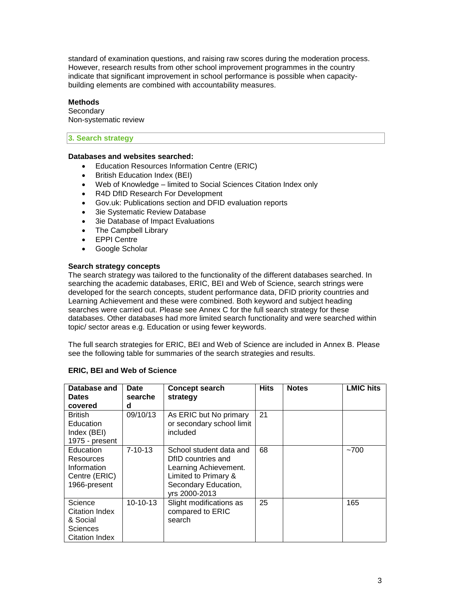standard of examination questions, and raising raw scores during the moderation process. However, research results from other school improvement programmes in the country indicate that significant improvement in school performance is possible when capacitybuilding elements are combined with accountability measures.

# **Methods**

**Secondary** Non-systematic review

# **3. Search strategy**

## **Databases and websites searched:**

- Education Resources Information Centre (ERIC)
- British Education Index (BEI)
- Web of Knowledge limited to Social Sciences Citation Index only
- R4D DfID Research For Development
- Gov.uk: Publications section and DFID evaluation reports
- 3ie Systematic Review Database
- 3ie Database of Impact Evaluations
- The Campbell Library
- EPPI Centre
- Google Scholar

# **Search strategy concepts**

The search strategy was tailored to the functionality of the different databases searched. In searching the academic databases, ERIC, BEI and Web of Science, search strings were developed for the search concepts, student performance data, DFID priority countries and Learning Achievement and these were combined. Both keyword and subject heading searches were carried out. Please see Annex C for the full search strategy for these databases. Other databases had more limited search functionality and were searched within topic/ sector areas e.g. Education or using fewer keywords.

The full search strategies for ERIC, BEI and Web of Science are included in Annex B. Please see the following table for summaries of the search strategies and results.

| Database and<br><b>Dates</b>                                               | Date<br>searche | <b>Concept search</b><br>strategy                                                                                                       | <b>Hits</b> | <b>Notes</b> | <b>LMIC hits</b> |
|----------------------------------------------------------------------------|-----------------|-----------------------------------------------------------------------------------------------------------------------------------------|-------------|--------------|------------------|
| covered                                                                    | d               |                                                                                                                                         |             |              |                  |
| <b>British</b><br>Education<br>Index (BEI)<br>1975 - present               | 09/10/13        | As ERIC but No primary<br>or secondary school limit<br>included                                                                         | 21          |              |                  |
| Education<br>Resources<br>Information<br>Centre (ERIC)<br>1966-present     | $7 - 10 - 13$   | School student data and<br>DfID countries and<br>Learning Achievement.<br>Limited to Primary &<br>Secondary Education,<br>yrs 2000-2013 | 68          |              | $-700$           |
| Science<br>Citation Index<br>& Social<br>Sciences<br><b>Citation Index</b> | $10-10-13$      | Slight modifications as<br>compared to ERIC<br>search                                                                                   | 25          |              | 165              |

# **ERIC, BEI and Web of Science**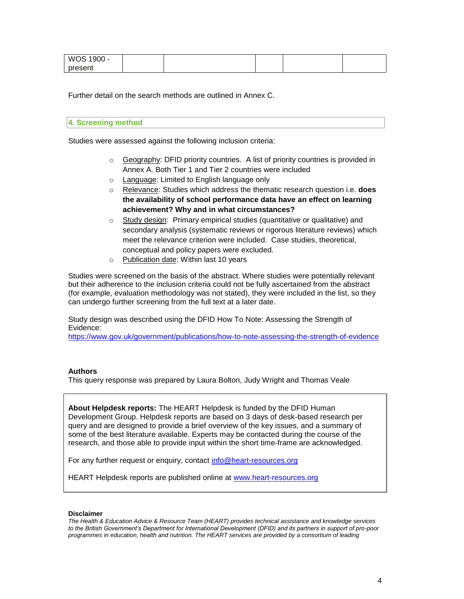| WOS 1900 - |  |  |  |
|------------|--|--|--|
| present    |  |  |  |

Further detail on the search methods are outlined in Annex C.

### **4. Screening method**

Studies were assessed against the following inclusion criteria:

- $\circ$  Geography: DFID priority countries. A list of priority countries is provided in Annex A. Both Tier 1 and Tier 2 countries were included
- o Language: Limited to English language only
- o Relevance: Studies which address the thematic research question i.e. **does the availability of school performance data have an effect on learning achievement? Why and in what circumstances?**
- o Study design: Primary empirical studies (quantitative or qualitative) and secondary analysis (systematic reviews or rigorous literature reviews) which meet the relevance criterion were included. Case studies, theoretical, conceptual and policy papers were excluded.
- o Publication date: Within last 10 years

Studies were screened on the basis of the abstract. Where studies were potentially relevant but their adherence to the inclusion criteria could not be fully ascertained from the abstract (for example, evaluation methodology was not stated), they were included in the list, so they can undergo further screening from the full text at a later date.

Study design was described using the DFID How To Note: Assessing the Strength of Evidence:

<https://www.gov.uk/government/publications/how-to-note-assessing-the-strength-of-evidence>

# **Authors**

This query response was prepared by Laura Bolton, Judy Wright and Thomas Veale

**About Helpdesk reports:** The HEART Helpdesk is funded by the DFID Human Development Group. Helpdesk reports are based on 3 days of desk-based research per query and are designed to provide a brief overview of the key issues, and a summary of some of the best literature available. Experts may be contacted during the course of the research, and those able to provide input within the short time-frame are acknowledged.

For any further request or enquiry, contact [info@heart-resources.org](mailto:info@heart-resources.org)

HEART Helpdesk reports are published online at [www.heart-resources.org](http://www.heart-resources.org/)

#### **Disclaimer**

*The Health & Education Advice & Resource Team (HEART) provides technical assistance and knowledge services to the British Government's Department for International Development (DFID) and its partners in support of pro-poor programmes in education, health and nutrition. The HEART services are provided by a consortium of leading*